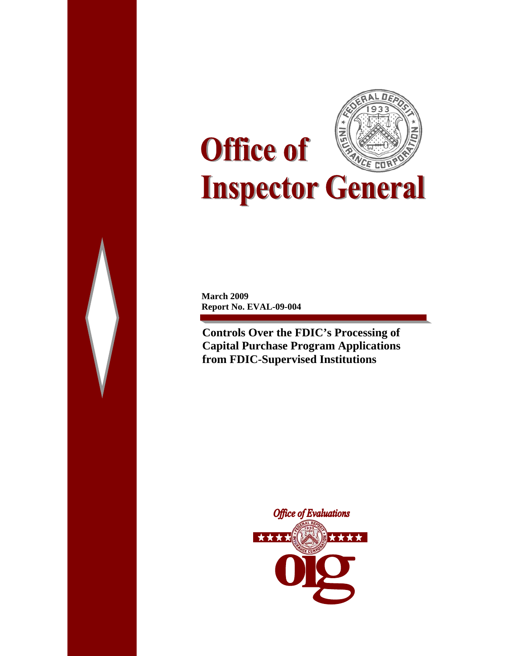

**March 2009 Report No. EVAL-09-004** 

**Controls Over the FDIC's Processing of Capital Purchase Program Applications from FDIC-Supervised Institutions** 

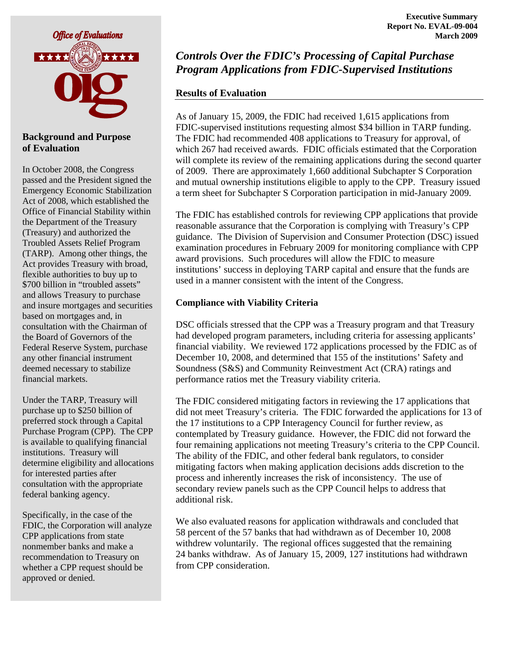

#### **Background and Purpose of Evaluation**

In October 2008, the Congress passed and the President signed the Emergency Economic Stabilization Act of 2008, which established the Office of Financial Stability within the Department of the Treasury (Treasury) and authorized the Troubled Assets Relief Program (TARP). Among other things, the Act provides Treasury with broad, flexible authorities to buy up to \$700 billion in "troubled assets" and allows Treasury to purchase and insure mortgages and securities based on mortgages and, in consultation with the Chairman of the Board of Governors of the Federal Reserve System, purchase any other financial instrument deemed necessary to stabilize financial markets.

Under the TARP, Treasury will purchase up to \$250 billion of preferred stock through a Capital Purchase Program (CPP). The CPP is available to qualifying financial institutions. Treasury will determine eligibility and allocations for interested parties after consultation with the appropriate federal banking agency.

Specifically, in the case of the FDIC, the Corporation will analyze CPP applications from state nonmember banks and make a recommendation to Treasury on whether a CPP request should be approved or denied.

# *Controls Over the FDIC's Processing of Capital Purchase Program Applications from FDIC-Supervised Institutions*

### **Results of Evaluation**

As of January 15, 2009, the FDIC had received 1,615 applications from FDIC-supervised institutions requesting almost \$34 billion in TARP funding. The FDIC had recommended 408 applications to Treasury for approval, of which 267 had received awards. FDIC officials estimated that the Corporation will complete its review of the remaining applications during the second quarter of 2009. There are approximately 1,660 additional Subchapter S Corporation and mutual ownership institutions eligible to apply to the CPP. Treasury issued a term sheet for Subchapter S Corporation participation in mid-January 2009.

The FDIC has established controls for reviewing CPP applications that provide reasonable assurance that the Corporation is complying with Treasury's CPP guidance. The Division of Supervision and Consumer Protection (DSC) issued examination procedures in February 2009 for monitoring compliance with CPP award provisions. Such procedures will allow the FDIC to measure institutions' success in deploying TARP capital and ensure that the funds are used in a manner consistent with the intent of the Congress.

#### **Compliance with Viability Criteria**

DSC officials stressed that the CPP was a Treasury program and that Treasury had developed program parameters, including criteria for assessing applicants' financial viability. We reviewed 172 applications processed by the FDIC as of December 10, 2008, and determined that 155 of the institutions' Safety and Soundness (S&S) and Community Reinvestment Act (CRA) ratings and performance ratios met the Treasury viability criteria.

The FDIC considered mitigating factors in reviewing the 17 applications that did not meet Treasury's criteria. The FDIC forwarded the applications for 13 of the 17 institutions to a CPP Interagency Council for further review, as contemplated by Treasury guidance. However, the FDIC did not forward the four remaining applications not meeting Treasury's criteria to the CPP Council. The ability of the FDIC, and other federal bank regulators, to consider mitigating factors when making application decisions adds discretion to the process and inherently increases the risk of inconsistency. The use of secondary review panels such as the CPP Council helps to address that additional risk.

We also evaluated reasons for application withdrawals and concluded that 58 percent of the 57 banks that had withdrawn as of December 10, 2008 withdrew voluntarily. The regional offices suggested that the remaining 24 banks withdraw. As of January 15, 2009, 127 institutions had withdrawn from CPP consideration.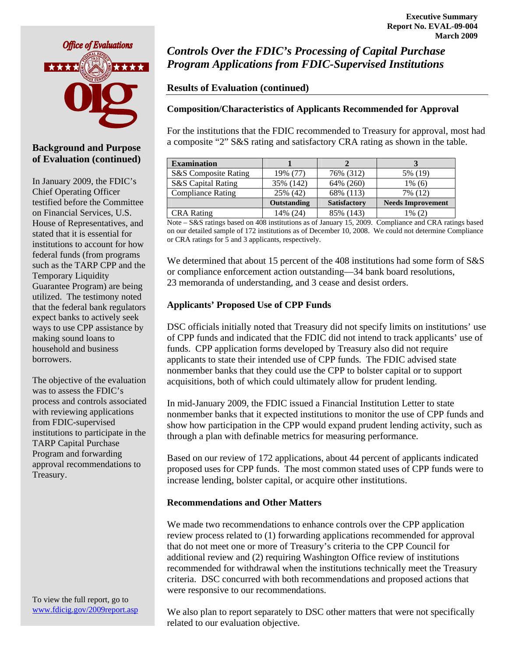

#### **Background and Purpose of Evaluation (continued)**

In January 2009, the FDIC's Chief Operating Officer testified before the Committee on Financial Services, U.S. House of Representatives, and stated that it is essential for institutions to account for how federal funds (from programs such as the TARP CPP and the Temporary Liquidity Guarantee Program) are being utilized. The testimony noted that the federal bank regulators expect banks to actively seek ways to use CPP assistance by making sound loans to household and business **borrowers** 

The objective of the evaluation was to assess the FDIC's process and controls associated with reviewing applications from FDIC-supervised institutions to participate in the TARP Capital Purchase Program and forwarding approval recommendations to Treasury.

To view the full report, go to [www.fdicig.gov/2009report.asp](http://www.fdicig.gov/2009report.asp) 

*Controls Over the FDIC's Processing of Capital Purchase Program Applications from FDIC-Supervised Institutions*

### **Results of Evaluation (continued)**

#### **Composition/Characteristics of Applicants Recommended for Approval**

For the institutions that the FDIC recommended to Treasury for approval, most had a composite "2" S&S rating and satisfactory CRA rating as shown in the table.

| <b>Examination</b>            |             |                     |                          |
|-------------------------------|-------------|---------------------|--------------------------|
| S&S Composite Rating          | 19% (77)    | 76% (312)           | 5% (19)                  |
| <b>S&amp;S</b> Capital Rating | 35% (142)   | 64% (260)           | 1% (6)                   |
| <b>Compliance Rating</b>      | 25% (42)    | 68% (113)           | 7% (12)                  |
|                               | Outstanding | <b>Satisfactory</b> | <b>Needs Improvement</b> |
| <b>CRA</b> Rating             | 14% (24)    | 85% (143)           | 1% (2)                   |

Note – S&S ratings based on 408 institutions as of January 15, 2009. Compliance and CRA ratings based on our detailed sample of 172 institutions as of December 10, 2008. We could not determine Compliance or CRA ratings for 5 and 3 applicants, respectively.

We determined that about 15 percent of the 408 institutions had some form of S&S or compliance enforcement action outstanding—34 bank board resolutions, 23 memoranda of understanding, and 3 cease and desist orders.

#### **Applicants' Proposed Use of CPP Funds**

DSC officials initially noted that Treasury did not specify limits on institutions' use of CPP funds and indicated that the FDIC did not intend to track applicants' use of funds. CPP application forms developed by Treasury also did not require applicants to state their intended use of CPP funds. The FDIC advised state nonmember banks that they could use the CPP to bolster capital or to support acquisitions, both of which could ultimately allow for prudent lending.

In mid-January 2009, the FDIC issued a Financial Institution Letter to state nonmember banks that it expected institutions to monitor the use of CPP funds and show how participation in the CPP would expand prudent lending activity, such as through a plan with definable metrics for measuring performance.

Based on our review of 172 applications, about 44 percent of applicants indicated proposed uses for CPP funds. The most common stated uses of CPP funds were to increase lending, bolster capital, or acquire other institutions.

#### **Recommendations and Other Matters**

We made two recommendations to enhance controls over the CPP application review process related to (1) forwarding applications recommended for approval that do not meet one or more of Treasury's criteria to the CPP Council for additional review and (2) requiring Washington Office review of institutions recommended for withdrawal when the institutions technically meet the Treasury criteria. DSC concurred with both recommendations and proposed actions that were responsive to our recommendations.

We also plan to report separately to DSC other matters that were not specifically related to our evaluation objective.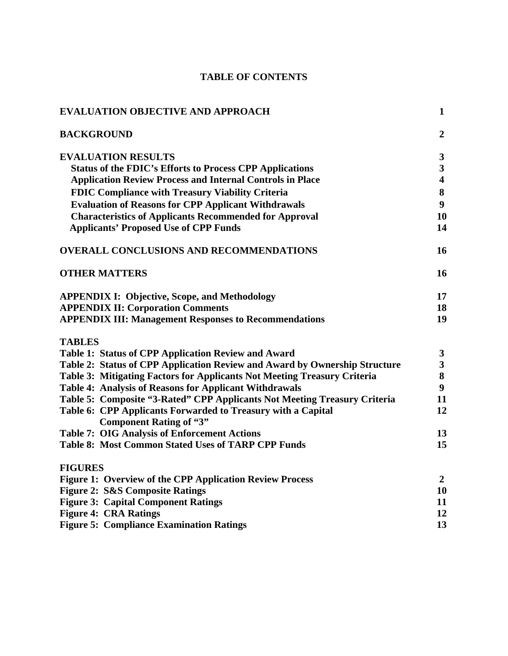### **TABLE OF CONTENTS**

| <b>EVALUATION OBJECTIVE AND APPROACH</b>                                                       | $\mathbf{1}$            |
|------------------------------------------------------------------------------------------------|-------------------------|
| <b>BACKGROUND</b>                                                                              | $\overline{2}$          |
| <b>EVALUATION RESULTS</b>                                                                      | $\mathbf{3}$            |
| <b>Status of the FDIC's Efforts to Process CPP Applications</b>                                | $\overline{\mathbf{3}}$ |
| <b>Application Review Process and Internal Controls in Place</b>                               | $\overline{\mathbf{4}}$ |
| <b>FDIC Compliance with Treasury Viability Criteria</b>                                        | 8                       |
| <b>Evaluation of Reasons for CPP Applicant Withdrawals</b>                                     | 9                       |
| <b>Characteristics of Applicants Recommended for Approval</b>                                  | 10                      |
| <b>Applicants' Proposed Use of CPP Funds</b>                                                   | 14                      |
| <b>OVERALL CONCLUSIONS AND RECOMMENDATIONS</b>                                                 | 16                      |
| <b>OTHER MATTERS</b>                                                                           | 16                      |
| <b>APPENDIX I: Objective, Scope, and Methodology</b>                                           | 17                      |
| <b>APPENDIX II: Corporation Comments</b>                                                       | 18                      |
| <b>APPENDIX III: Management Responses to Recommendations</b>                                   | 19                      |
| <b>TABLES</b>                                                                                  |                         |
| <b>Table 1: Status of CPP Application Review and Award</b>                                     | $\mathbf{3}$            |
| Table 2: Status of CPP Application Review and Award by Ownership Structure                     | $\overline{\mathbf{3}}$ |
| Table 3: Mitigating Factors for Applicants Not Meeting Treasury Criteria                       | 8                       |
| <b>Table 4: Analysis of Reasons for Applicant Withdrawals</b>                                  | $\boldsymbol{9}$        |
| Table 5: Composite "3-Rated" CPP Applicants Not Meeting Treasury Criteria                      | 11                      |
| Table 6: CPP Applicants Forwarded to Treasury with a Capital<br><b>Component Rating of "3"</b> | 12                      |
| <b>Table 7: OIG Analysis of Enforcement Actions</b>                                            | 13                      |
| <b>Table 8: Most Common Stated Uses of TARP CPP Funds</b>                                      | 15                      |
| <b>FIGURES</b>                                                                                 |                         |
| <b>Figure 1: Overview of the CPP Application Review Process</b>                                | $\overline{2}$          |
| <b>Figure 2: S&amp;S Composite Ratings</b>                                                     | 10                      |
| <b>Figure 3: Capital Component Ratings</b>                                                     | 11                      |
| <b>Figure 4: CRA Ratings</b>                                                                   | 12                      |
| <b>Figure 5: Compliance Examination Ratings</b>                                                | 13                      |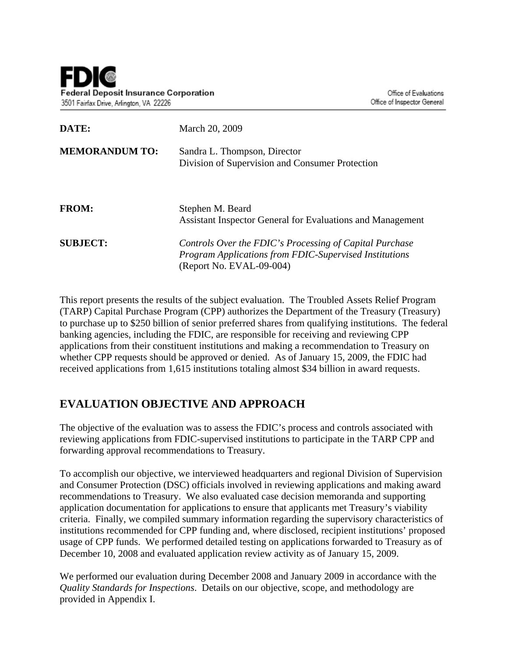| DATE:                 | March 20, 2009                                                                                                                                |  |  |
|-----------------------|-----------------------------------------------------------------------------------------------------------------------------------------------|--|--|
| <b>MEMORANDUM TO:</b> | Sandra L. Thompson, Director<br>Division of Supervision and Consumer Protection                                                               |  |  |
| <b>FROM:</b>          | Stephen M. Beard<br>Assistant Inspector General for Evaluations and Management                                                                |  |  |
| <b>SUBJECT:</b>       | Controls Over the FDIC's Processing of Capital Purchase<br>Program Applications from FDIC-Supervised Institutions<br>(Report No. EVAL-09-004) |  |  |

This report presents the results of the subject evaluation. The Troubled Assets Relief Program (TARP) Capital Purchase Program (CPP) authorizes the Department of the Treasury (Treasury) to purchase up to \$250 billion of senior preferred shares from qualifying institutions. The federal banking agencies, including the FDIC, are responsible for receiving and reviewing CPP applications from their constituent institutions and making a recommendation to Treasury on whether CPP requests should be approved or denied. As of January 15, 2009, the FDIC had received applications from 1,615 institutions totaling almost \$34 billion in award requests.

# **EVALUATION OBJECTIVE AND APPROACH**

The objective of the evaluation was to assess the FDIC's process and controls associated with reviewing applications from FDIC-supervised institutions to participate in the TARP CPP and forwarding approval recommendations to Treasury.

To accomplish our objective, we interviewed headquarters and regional Division of Supervision and Consumer Protection (DSC) officials involved in reviewing applications and making award recommendations to Treasury. We also evaluated case decision memoranda and supporting application documentation for applications to ensure that applicants met Treasury's viability criteria. Finally, we compiled summary information regarding the supervisory characteristics of institutions recommended for CPP funding and, where disclosed, recipient institutions' proposed usage of CPP funds. We performed detailed testing on applications forwarded to Treasury as of December 10, 2008 and evaluated application review activity as of January 15, 2009.

We performed our evaluation during December 2008 and January 2009 in accordance with the *Quality Standards for Inspections*. Details on our objective, scope, and methodology are provided in Appendix I.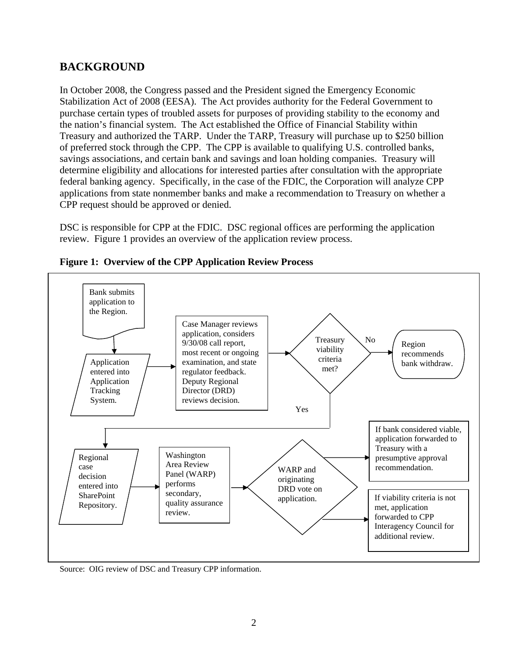## **BACKGROUND**

In October 2008, the Congress passed and the President signed the Emergency Economic Stabilization Act of 2008 (EESA). The Act provides authority for the Federal Government to purchase certain types of troubled assets for purposes of providing stability to the economy and the nation's financial system. The Act established the Office of Financial Stability within Treasury and authorized the TARP. Under the TARP, Treasury will purchase up to \$250 billion of preferred stock through the CPP. The CPP is available to qualifying U.S. controlled banks, savings associations, and certain bank and savings and loan holding companies. Treasury will determine eligibility and allocations for interested parties after consultation with the appropriate federal banking agency. Specifically, in the case of the FDIC, the Corporation will analyze CPP applications from state nonmember banks and make a recommendation to Treasury on whether a CPP request should be approved or denied.

DSC is responsible for CPP at the FDIC. DSC regional offices are performing the application review. Figure 1 provides an overview of the application review process.



**Figure 1: Overview of the CPP Application Review Process** 

Source: OIG review of DSC and Treasury CPP information.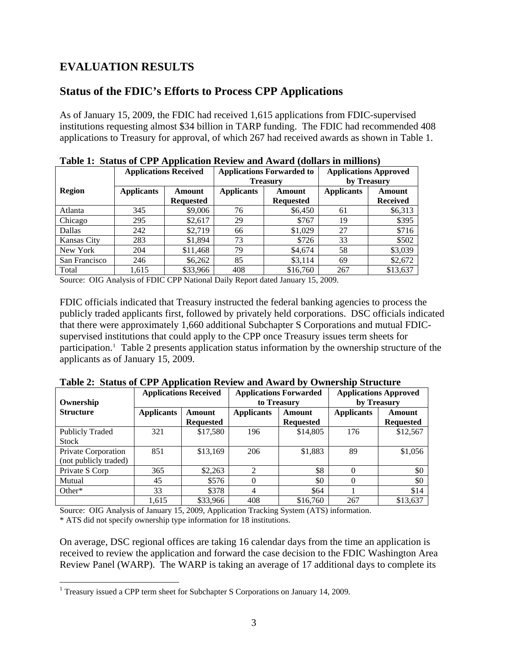# **EVALUATION RESULTS**

### **Status of the FDIC's Efforts to Process CPP Applications**

As of January 15, 2009, the FDIC had received 1,615 applications from FDIC-supervised institutions requesting almost \$34 billion in TARP funding. The FDIC had recommended 408 applications to Treasury for approval, of which 267 had received awards as shown in Table 1.

|               |                   | <b>Applications Received</b> | <b>Applications Forwarded to</b> |                  | <b>Applications Approved</b> |                 |
|---------------|-------------------|------------------------------|----------------------------------|------------------|------------------------------|-----------------|
|               |                   |                              |                                  | <b>Treasury</b>  |                              | by Treasury     |
| <b>Region</b> | <b>Applicants</b> | Amount                       | <b>Applicants</b>                | Amount           | <b>Applicants</b>            | Amount          |
|               |                   | <b>Requested</b>             |                                  | <b>Requested</b> |                              | <b>Received</b> |
| Atlanta       | 345               | \$9,006                      | 76                               | \$6,450          | 61                           | \$6,313         |
| Chicago       | 295               | \$2,617                      | 29                               | \$767            | 19                           | \$395           |
| Dallas        | 242               | \$2,719                      | 66                               | \$1,029          | 27                           | \$716           |
| Kansas City   | 283               | \$1,894                      | 73                               | \$726            | 33                           | \$502           |
| New York      | 204               | \$11,468                     | 79                               | \$4,674          | 58                           | \$3,039         |
| San Francisco | 246               | \$6,262                      | 85                               | \$3,114          | 69                           | \$2,672         |
| Total         | 1.615             | \$33,966                     | 408                              | \$16,760         | 267                          | \$13,637        |

|  | Table 1: Status of CPP Application Review and Award (dollars in millions) |  |  |  |  |  |
|--|---------------------------------------------------------------------------|--|--|--|--|--|
|--|---------------------------------------------------------------------------|--|--|--|--|--|

Source: OIG Analysis of FDIC CPP National Daily Report dated January 15, 2009.

FDIC officials indicated that Treasury instructed the federal banking agencies to process the publicly traded applicants first, followed by privately held corporations. DSC officials indicated that there were approximately 1,660 additional Subchapter S Corporations and mutual FDICsupervised institutions that could apply to the CPP once Treasury issues term sheets for participation.<sup>[1](#page-6-0)</sup> Table 2 presents application status information by the ownership structure of the applicants as of January 15, 2009.

| Ownership                                    | <b>Applications Received</b> |                            | <b>Applications Forwarded</b><br>to Treasury |                            | <b>Applications Approved</b><br>by Treasury |                            |
|----------------------------------------------|------------------------------|----------------------------|----------------------------------------------|----------------------------|---------------------------------------------|----------------------------|
| <b>Structure</b>                             | <b>Applicants</b>            | Amount<br><b>Requested</b> | <b>Applicants</b>                            | Amount<br><b>Requested</b> | <b>Applicants</b>                           | Amount<br><b>Requested</b> |
| <b>Publicly Traded</b><br><b>Stock</b>       | 321                          | \$17,580                   | 196                                          | \$14,805                   | 176                                         | \$12,567                   |
| Private Corporation<br>(not publicly traded) | 851                          | \$13,169                   | 206                                          | \$1,883                    | 89                                          | \$1,056                    |
| Private S Corp                               | 365                          | \$2,263                    |                                              | \$8                        |                                             | \$0                        |
| Mutual                                       | 45                           | \$576                      |                                              | \$0                        |                                             | \$0                        |
| Other*                                       | 33                           | \$378                      | 4                                            | \$64                       |                                             | \$14                       |
|                                              | 1,615                        | \$33,966                   | 408                                          | \$16,760                   | 267                                         | \$13,637                   |

**Table 2: Status of CPP Application Review and Award by Ownership Structure** 

Source: OIG Analysis of January 15, 2009, Application Tracking System (ATS) information.

\* ATS did not specify ownership type information for 18 institutions.

On average, DSC regional offices are taking 16 calendar days from the time an application is received to review the application and forward the case decision to the FDIC Washington Area Review Panel (WARP). The WARP is taking an average of 17 additional days to complete its

<span id="page-6-0"></span> $\overline{a}$ <sup>1</sup> Treasury issued a CPP term sheet for Subchapter S Corporations on January 14, 2009.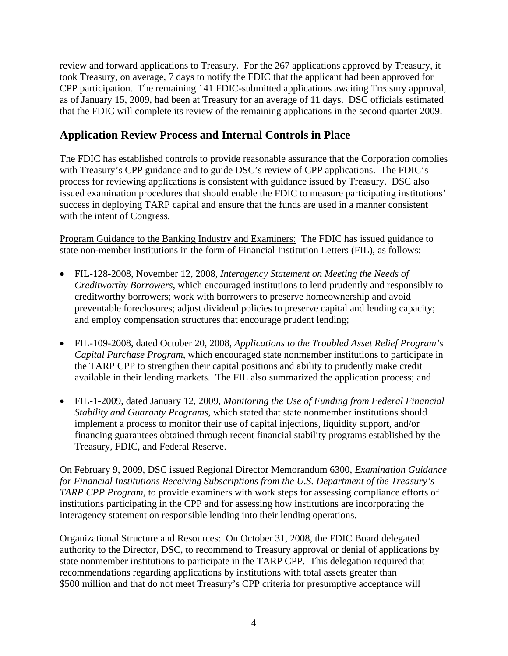review and forward applications to Treasury. For the 267 applications approved by Treasury, it took Treasury, on average, 7 days to notify the FDIC that the applicant had been approved for CPP participation. The remaining 141 FDIC-submitted applications awaiting Treasury approval, as of January 15, 2009, had been at Treasury for an average of 11 days. DSC officials estimated that the FDIC will complete its review of the remaining applications in the second quarter 2009.

## **Application Review Process and Internal Controls in Place**

The FDIC has established controls to provide reasonable assurance that the Corporation complies with Treasury's CPP guidance and to guide DSC's review of CPP applications. The FDIC's process for reviewing applications is consistent with guidance issued by Treasury. DSC also issued examination procedures that should enable the FDIC to measure participating institutions' success in deploying TARP capital and ensure that the funds are used in a manner consistent with the intent of Congress.

Program Guidance to the Banking Industry and Examiners: The FDIC has issued guidance to state non-member institutions in the form of Financial Institution Letters (FIL), as follows:

- FIL-128-2008, November 12, 2008, *Interagency Statement on Meeting the Needs of Creditworthy Borrowers*, which encouraged institutions to lend prudently and responsibly to creditworthy borrowers; work with borrowers to preserve homeownership and avoid preventable foreclosures; adjust dividend policies to preserve capital and lending capacity; and employ compensation structures that encourage prudent lending;
- FIL-109-2008, dated October 20, 2008, *Applications to the Troubled Asset Relief Program's Capital Purchase Program*, which encouraged state nonmember institutions to participate in the TARP CPP to strengthen their capital positions and ability to prudently make credit available in their lending markets. The FIL also summarized the application process; and
- FIL-1-2009, dated January 12, 2009, *Monitoring the Use of Funding from Federal Financial Stability and Guaranty Programs*, which stated that state nonmember institutions should implement a process to monitor their use of capital injections, liquidity support, and/or financing guarantees obtained through recent financial stability programs established by the Treasury, FDIC, and Federal Reserve.

On February 9, 2009, DSC issued Regional Director Memorandum 6300, *Examination Guidance for Financial Institutions Receiving Subscriptions from the U.S. Department of the Treasury's TARP CPP Program*, to provide examiners with work steps for assessing compliance efforts of institutions participating in the CPP and for assessing how institutions are incorporating the interagency statement on responsible lending into their lending operations.

Organizational Structure and Resources: On October 31, 2008, the FDIC Board delegated authority to the Director, DSC, to recommend to Treasury approval or denial of applications by state nonmember institutions to participate in the TARP CPP. This delegation required that recommendations regarding applications by institutions with total assets greater than \$500 million and that do not meet Treasury's CPP criteria for presumptive acceptance will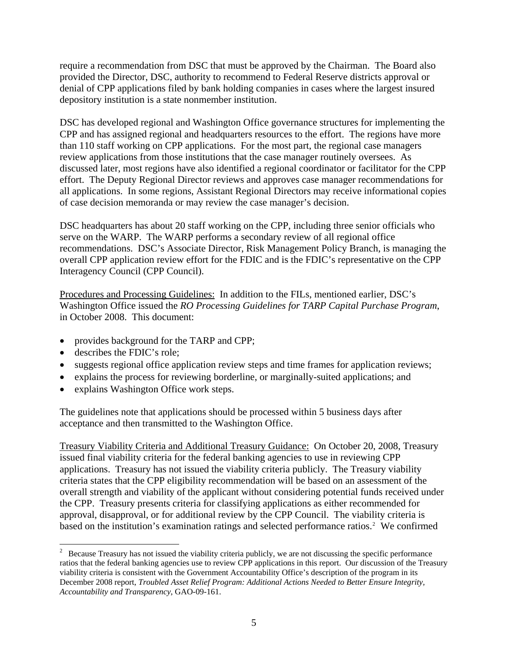<span id="page-8-0"></span>require a recommendation from DSC that must be approved by the Chairman. The Board also provided the Director, DSC, authority to recommend to Federal Reserve districts approval or denial of CPP applications filed by bank holding companies in cases where the largest insured depository institution is a state nonmember institution.

DSC has developed regional and Washington Office governance structures for implementing the CPP and has assigned regional and headquarters resources to the effort. The regions have more than 110 staff working on CPP applications. For the most part, the regional case managers review applications from those institutions that the case manager routinely oversees. As discussed later, most regions have also identified a regional coordinator or facilitator for the CPP effort. The Deputy Regional Director reviews and approves case manager recommendations for all applications. In some regions, Assistant Regional Directors may receive informational copies of case decision memoranda or may review the case manager's decision.

DSC headquarters has about 20 staff working on the CPP, including three senior officials who serve on the WARP. The WARP performs a secondary review of all regional office recommendations. DSC's Associate Director, Risk Management Policy Branch, is managing the overall CPP application review effort for the FDIC and is the FDIC's representative on the CPP Interagency Council (CPP Council).

Procedures and Processing Guidelines: In addition to the FILs, mentioned earlier, DSC's Washington Office issued the *RO Processing Guidelines for TARP Capital Purchase Program*, in October 2008. This document:

- provides background for the TARP and CPP;
- describes the FDIC's role:

 $\overline{a}$ 

- suggests regional office application review steps and time frames for application reviews;
- explains the process for reviewing borderline, or marginally-suited applications; and
- explains Washington Office work steps.

The guidelines note that applications should be processed within 5 business days after acceptance and then transmitted to the Washington Office.

Treasury Viability Criteria and Additional Treasury Guidance: On October 20, 2008, Treasury issued final viability criteria for the federal banking agencies to use in reviewing CPP applications. Treasury has not issued the viability criteria publicly. The Treasury viability criteria states that the CPP eligibility recommendation will be based on an assessment of the overall strength and viability of the applicant without considering potential funds received under the CPP. Treasury presents criteria for classifying applications as either recommended for approval, disapproval, or for additional review by the CPP Council. The viability criteria is based on the institution's examination ratings and selected performance ratios.<sup>[2](#page-8-0)</sup> We confirmed

 $2<sup>2</sup>$  Because Treasury has not issued the viability criteria publicly, we are not discussing the specific performance ratios that the federal banking agencies use to review CPP applications in this report. Our discussion of the Treasury viability criteria is consistent with the Government Accountability Office's description of the program in its December 2008 report, *Troubled Asset Relief Program: Additional Actions Needed to Better Ensure Integrity, Accountability and Transparency*, GAO-09-161.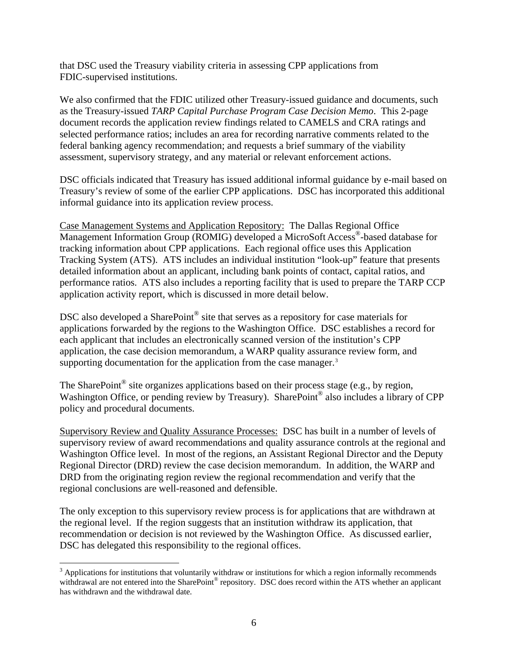<span id="page-9-0"></span>that DSC used the Treasury viability criteria in assessing CPP applications from FDIC-supervised institutions.

We also confirmed that the FDIC utilized other Treasury-issued guidance and documents, such as the Treasury-issued *TARP Capital Purchase Program Case Decision Memo*. This 2-page document records the application review findings related to CAMELS and CRA ratings and selected performance ratios; includes an area for recording narrative comments related to the federal banking agency recommendation; and requests a brief summary of the viability assessment, supervisory strategy, and any material or relevant enforcement actions.

DSC officials indicated that Treasury has issued additional informal guidance by e-mail based on Treasury's review of some of the earlier CPP applications. DSC has incorporated this additional informal guidance into its application review process.

Case Management Systems and Application Repository: The Dallas Regional Office Management Information Group (ROMIG) developed a MicroSoft Access®-based database for tracking information about CPP applications. Each regional office uses this Application Tracking System (ATS). ATS includes an individual institution "look-up" feature that presents detailed information about an applicant, including bank points of contact, capital ratios, and performance ratios. ATS also includes a reporting facility that is used to prepare the TARP CCP application activity report, which is discussed in more detail below.

DSC also developed a SharePoint® site that serves as a repository for case materials for applications forwarded by the regions to the Washington Office. DSC establishes a record for each applicant that includes an electronically scanned version of the institution's CPP application, the case decision memorandum, a WARP quality assurance review form, and supporting documentation for the application from the case manager.<sup>[3](#page-9-0)</sup>

The SharePoint<sup>®</sup> site organizes applications based on their process stage (e.g., by region, Washington Office, or pending review by Treasury). SharePoint<sup>®</sup> also includes a library of CPP policy and procedural documents.

Supervisory Review and Quality Assurance Processes: DSC has built in a number of levels of supervisory review of award recommendations and quality assurance controls at the regional and Washington Office level. In most of the regions, an Assistant Regional Director and the Deputy Regional Director (DRD) review the case decision memorandum. In addition, the WARP and DRD from the originating region review the regional recommendation and verify that the regional conclusions are well-reasoned and defensible.

The only exception to this supervisory review process is for applications that are withdrawn at the regional level. If the region suggests that an institution withdraw its application, that recommendation or decision is not reviewed by the Washington Office. As discussed earlier, DSC has delegated this responsibility to the regional offices.

 $\overline{a}$ 

 $3$  Applications for institutions that voluntarily withdraw or institutions for which a region informally recommends withdrawal are not entered into the SharePoint® repository. DSC does record within the ATS whether an applicant has withdrawn and the withdrawal date.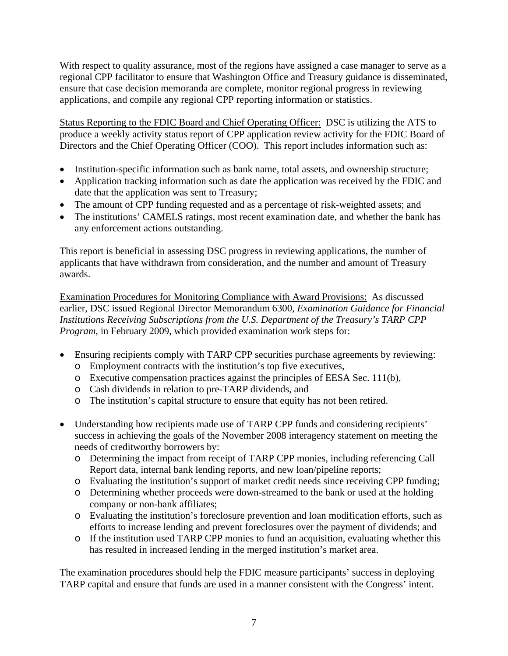With respect to quality assurance, most of the regions have assigned a case manager to serve as a regional CPP facilitator to ensure that Washington Office and Treasury guidance is disseminated, ensure that case decision memoranda are complete, monitor regional progress in reviewing applications, and compile any regional CPP reporting information or statistics.

Status Reporting to the FDIC Board and Chief Operating Officer: DSC is utilizing the ATS to produce a weekly activity status report of CPP application review activity for the FDIC Board of Directors and the Chief Operating Officer (COO). This report includes information such as:

- Institution-specific information such as bank name, total assets, and ownership structure;
- Application tracking information such as date the application was received by the FDIC and date that the application was sent to Treasury;
- The amount of CPP funding requested and as a percentage of risk-weighted assets; and
- The institutions' CAMELS ratings, most recent examination date, and whether the bank has any enforcement actions outstanding.

This report is beneficial in assessing DSC progress in reviewing applications, the number of applicants that have withdrawn from consideration, and the number and amount of Treasury awards.

Examination Procedures for Monitoring Compliance with Award Provisions: As discussed earlier, DSC issued Regional Director Memorandum 6300, *Examination Guidance for Financial Institutions Receiving Subscriptions from the U.S. Department of the Treasury's TARP CPP Program*, in February 2009, which provided examination work steps for:

- Ensuring recipients comply with TARP CPP securities purchase agreements by reviewing:
	- o Employment contracts with the institution's top five executives,
	- o Executive compensation practices against the principles of EESA Sec. 111(b),
	- o Cash dividends in relation to pre-TARP dividends, and
	- o The institution's capital structure to ensure that equity has not been retired.
- Understanding how recipients made use of TARP CPP funds and considering recipients' success in achieving the goals of the November 2008 interagency statement on meeting the needs of creditworthy borrowers by:
	- o Determining the impact from receipt of TARP CPP monies, including referencing Call Report data, internal bank lending reports, and new loan/pipeline reports;
	- o Evaluating the institution's support of market credit needs since receiving CPP funding;
	- o Determining whether proceeds were down-streamed to the bank or used at the holding company or non-bank affiliates;
	- o Evaluating the institution's foreclosure prevention and loan modification efforts, such as efforts to increase lending and prevent foreclosures over the payment of dividends; and
	- o If the institution used TARP CPP monies to fund an acquisition, evaluating whether this has resulted in increased lending in the merged institution's market area.

The examination procedures should help the FDIC measure participants' success in deploying TARP capital and ensure that funds are used in a manner consistent with the Congress' intent.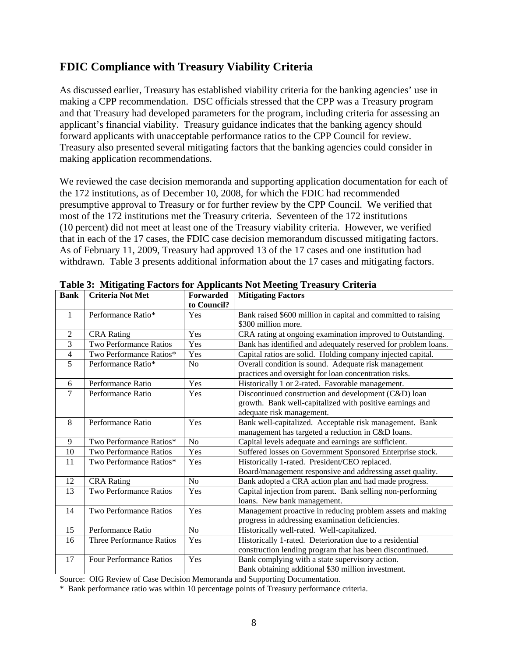### **FDIC Compliance with Treasury Viability Criteria**

As discussed earlier, Treasury has established viability criteria for the banking agencies' use in making a CPP recommendation. DSC officials stressed that the CPP was a Treasury program and that Treasury had developed parameters for the program, including criteria for assessing an applicant's financial viability. Treasury guidance indicates that the banking agency should forward applicants with unacceptable performance ratios to the CPP Council for review. Treasury also presented several mitigating factors that the banking agencies could consider in making application recommendations.

We reviewed the case decision memoranda and supporting application documentation for each of the 172 institutions, as of December 10, 2008, for which the FDIC had recommended presumptive approval to Treasury or for further review by the CPP Council. We verified that most of the 172 institutions met the Treasury criteria. Seventeen of the 172 institutions (10 percent) did not meet at least one of the Treasury viability criteria. However, we verified that in each of the 17 cases, the FDIC case decision memorandum discussed mitigating factors. As of February 11, 2009, Treasury had approved 13 of the 17 cases and one institution had withdrawn. Table 3 presents additional information about the 17 cases and mitigating factors.

| <b>Bank</b>    | <b>Criteria Not Met</b>         | Forwarded      | <b>Mitigating Factors</b>                                      |
|----------------|---------------------------------|----------------|----------------------------------------------------------------|
|                |                                 | to Council?    |                                                                |
| 1              | Performance Ratio*              | Yes            | Bank raised \$600 million in capital and committed to raising  |
|                |                                 |                | \$300 million more.                                            |
| $\overline{2}$ | <b>CRA Rating</b>               | Yes            | CRA rating at ongoing examination improved to Outstanding.     |
| 3              | Two Performance Ratios          | Yes            | Bank has identified and adequately reserved for problem loans. |
| $\overline{4}$ | Two Performance Ratios*         | Yes            | Capital ratios are solid. Holding company injected capital.    |
| 5              | Performance Ratio*              | N <sub>0</sub> | Overall condition is sound. Adequate risk management           |
|                |                                 |                | practices and oversight for loan concentration risks.          |
| 6              | Performance Ratio               | Yes            | Historically 1 or 2-rated. Favorable management.               |
| 7              | Performance Ratio               | Yes            | Discontinued construction and development (C&D) loan           |
|                |                                 |                | growth. Bank well-capitalized with positive earnings and       |
|                |                                 |                | adequate risk management.                                      |
| 8              | Performance Ratio               | Yes            | Bank well-capitalized. Acceptable risk management. Bank        |
|                |                                 |                | management has targeted a reduction in C&D loans.              |
| 9              | Two Performance Ratios*         | N <sub>o</sub> | Capital levels adequate and earnings are sufficient.           |
| 10             | Two Performance Ratios          | Yes            | Suffered losses on Government Sponsored Enterprise stock.      |
| 11             | Two Performance Ratios*         | Yes            | Historically 1-rated. President/CEO replaced.                  |
|                |                                 |                | Board/management responsive and addressing asset quality.      |
| 12             | <b>CRA Rating</b>               | N <sub>o</sub> | Bank adopted a CRA action plan and had made progress.          |
| 13             | Two Performance Ratios          | Yes            | Capital injection from parent. Bank selling non-performing     |
|                |                                 |                | loans. New bank management.                                    |
| 14             | <b>Two Performance Ratios</b>   | Yes            | Management proactive in reducing problem assets and making     |
|                |                                 |                | progress in addressing examination deficiencies.               |
| 15             | Performance Ratio               | N <sub>o</sub> | Historically well-rated. Well-capitalized.                     |
| 16             | <b>Three Performance Ratios</b> | Yes            | Historically 1-rated. Deterioration due to a residential       |
|                |                                 |                | construction lending program that has been discontinued.       |
| 17             | <b>Four Performance Ratios</b>  | Yes            | Bank complying with a state supervisory action.                |
|                |                                 |                | Bank obtaining additional \$30 million investment.             |

**Table 3: Mitigating Factors for Applicants Not Meeting Treasury Criteria** 

Source: OIG Review of Case Decision Memoranda and Supporting Documentation.

\* Bank performance ratio was within 10 percentage points of Treasury performance criteria.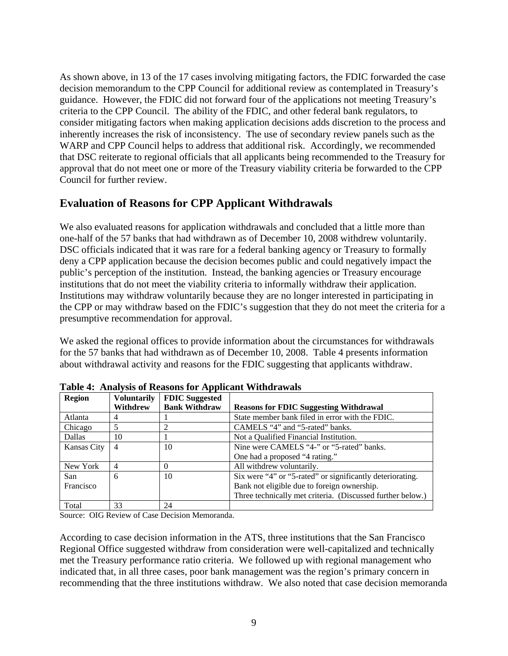As shown above, in 13 of the 17 cases involving mitigating factors, the FDIC forwarded the case decision memorandum to the CPP Council for additional review as contemplated in Treasury's guidance. However, the FDIC did not forward four of the applications not meeting Treasury's criteria to the CPP Council. The ability of the FDIC, and other federal bank regulators, to consider mitigating factors when making application decisions adds discretion to the process and inherently increases the risk of inconsistency. The use of secondary review panels such as the WARP and CPP Council helps to address that additional risk. Accordingly, we recommended that DSC reiterate to regional officials that all applicants being recommended to the Treasury for approval that do not meet one or more of the Treasury viability criteria be forwarded to the CPP Council for further review.

## **Evaluation of Reasons for CPP Applicant Withdrawals**

We also evaluated reasons for application withdrawals and concluded that a little more than one-half of the 57 banks that had withdrawn as of December 10, 2008 withdrew voluntarily. DSC officials indicated that it was rare for a federal banking agency or Treasury to formally deny a CPP application because the decision becomes public and could negatively impact the public's perception of the institution. Instead, the banking agencies or Treasury encourage institutions that do not meet the viability criteria to informally withdraw their application. Institutions may withdraw voluntarily because they are no longer interested in participating in the CPP or may withdraw based on the FDIC's suggestion that they do not meet the criteria for a presumptive recommendation for approval.

We asked the regional offices to provide information about the circumstances for withdrawals for the 57 banks that had withdrawn as of December 10, 2008. Table 4 presents information about withdrawal activity and reasons for the FDIC suggesting that applicants withdraw.

| <b>Region</b> | <b>Voluntarily</b> | <b>FDIC</b> Suggested |                                                            |
|---------------|--------------------|-----------------------|------------------------------------------------------------|
|               | Withdrew           | <b>Bank Withdraw</b>  | <b>Reasons for FDIC Suggesting Withdrawal</b>              |
| Atlanta       | 4                  |                       | State member bank filed in error with the FDIC.            |
| Chicago       |                    |                       | CAMELS "4" and "5-rated" banks.                            |
| Dallas        | 10                 |                       | Not a Qualified Financial Institution.                     |
| Kansas City   | $\overline{4}$     | 10                    | Nine were CAMELS "4-" or "5-rated" banks.                  |
|               |                    |                       | One had a proposed "4 rating."                             |
| New York      | 4                  | 0                     | All withdrew voluntarily.                                  |
| San           | 6                  | 10                    | Six were "4" or "5-rated" or significantly deteriorating.  |
| Francisco     |                    |                       | Bank not eligible due to foreign ownership.                |
|               |                    |                       | Three technically met criteria. (Discussed further below.) |
| Total         | 33                 | 24                    |                                                            |

**Table 4: Analysis of Reasons for Applicant Withdrawals** 

Source: OIG Review of Case Decision Memoranda.

According to case decision information in the ATS, three institutions that the San Francisco Regional Office suggested withdraw from consideration were well-capitalized and technically met the Treasury performance ratio criteria. We followed up with regional management who indicated that, in all three cases, poor bank management was the region's primary concern in recommending that the three institutions withdraw. We also noted that case decision memoranda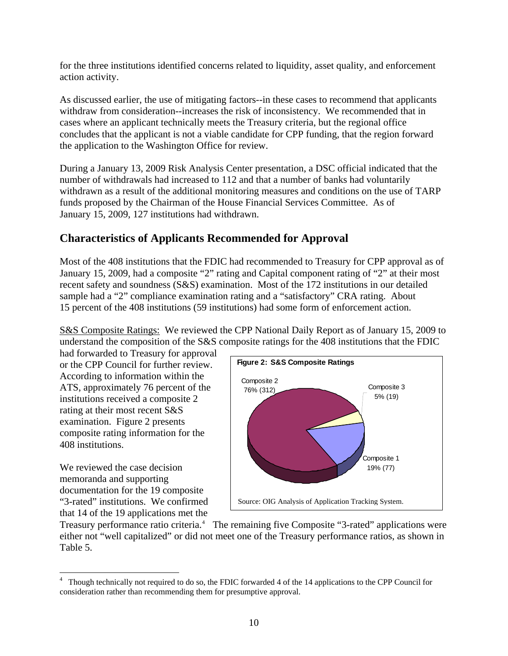<span id="page-13-0"></span>for the three institutions identified concerns related to liquidity, asset quality, and enforcement action activity.

As discussed earlier, the use of mitigating factors--in these cases to recommend that applicants withdraw from consideration--increases the risk of inconsistency. We recommended that in cases where an applicant technically meets the Treasury criteria, but the regional office concludes that the applicant is not a viable candidate for CPP funding, that the region forward the application to the Washington Office for review.

During a January 13, 2009 Risk Analysis Center presentation, a DSC official indicated that the number of withdrawals had increased to 112 and that a number of banks had voluntarily withdrawn as a result of the additional monitoring measures and conditions on the use of TARP funds proposed by the Chairman of the House Financial Services Committee. As of January 15, 2009, 127 institutions had withdrawn.

### **Characteristics of Applicants Recommended for Approval**

Most of the 408 institutions that the FDIC had recommended to Treasury for CPP approval as of January 15, 2009, had a composite "2" rating and Capital component rating of "2" at their most recent safety and soundness (S&S) examination. Most of the 172 institutions in our detailed sample had a "2" compliance examination rating and a "satisfactory" CRA rating. About 15 percent of the 408 institutions (59 institutions) had some form of enforcement action.

S&S Composite Ratings: We reviewed the CPP National Daily Report as of January 15, 2009 to understand the composition of the S&S composite ratings for the 408 institutions that the FDIC

had forwarded to Treasury for approval or the CPP Council for further review. According to information within the ATS, approximately 76 percent of the institutions received a composite 2 rating at their most recent S&S examination. Figure 2 presents composite rating information for the 408 institutions.

We reviewed the case decision memoranda and supporting documentation for the 19 composite "3-rated" institutions. We confirmed that 14 of the 19 applications met the



Treasury performance ratio criteria.<sup>[4](#page-13-0)</sup> The remaining five Composite "3-rated" applications were either not "well capitalized" or did not meet one of the Treasury performance ratios, as shown in Table 5.

 $\overline{4}$ <sup>4</sup> Though technically not required to do so, the FDIC forwarded 4 of the 14 applications to the CPP Council for consideration rather than recommending them for presumptive approval.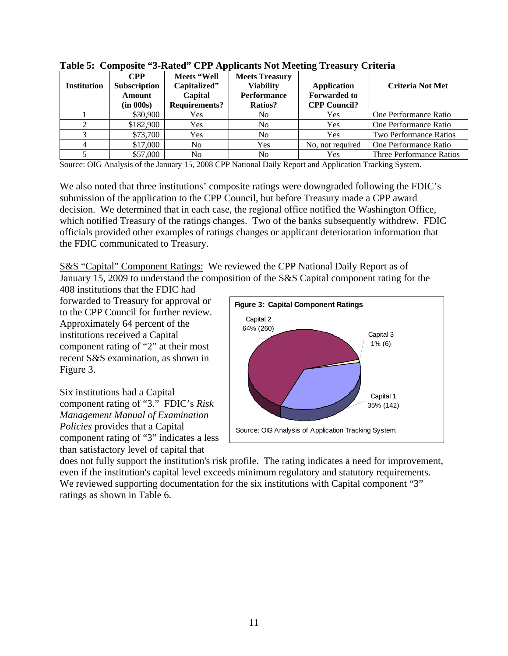| <b>Institution</b> | $\bf{CPP}$<br><b>Subscription</b><br><b>Amount</b><br>(in 000s) | Meets "Well<br>Capitalized"<br>Capital<br><b>Requirements?</b> | <b>Meets Treasury</b><br><b>Viability</b><br><b>Performance</b><br>Ratios? | <b>Application</b><br><b>Forwarded to</b><br><b>CPP Council?</b> | <b>Criteria Not Met</b>       |
|--------------------|-----------------------------------------------------------------|----------------------------------------------------------------|----------------------------------------------------------------------------|------------------------------------------------------------------|-------------------------------|
|                    | \$30,900                                                        | Yes                                                            | No                                                                         | Yes                                                              | One Performance Ratio         |
| 2                  | \$182,900                                                       | Yes                                                            | N <sub>0</sub>                                                             | Yes                                                              | One Performance Ratio         |
|                    | \$73,700                                                        | Yes                                                            | No                                                                         | Yes                                                              | <b>Two Performance Ratios</b> |
| 4                  | \$17,000                                                        | No                                                             | Yes                                                                        | No, not required                                                 | One Performance Ratio         |
|                    | \$57,000                                                        | N <sub>0</sub>                                                 | No                                                                         | Yes                                                              | Three Performance Ratios      |

**Table 5: Composite "3-Rated" CPP Applicants Not Meeting Treasury Criteria** 

Source: OIG Analysis of the January 15, 2008 CPP National Daily Report and Application Tracking System.

We also noted that three institutions' composite ratings were downgraded following the FDIC's submission of the application to the CPP Council, but before Treasury made a CPP award decision. We determined that in each case, the regional office notified the Washington Office, which notified Treasury of the ratings changes. Two of the banks subsequently withdrew. FDIC officials provided other examples of ratings changes or applicant deterioration information that the FDIC communicated to Treasury.

S&S "Capital" Component Ratings: We reviewed the CPP National Daily Report as of January 15, 2009 to understand the composition of the S&S Capital component rating for the

408 institutions that the FDIC had forwarded to Treasury for approval or to the CPP Council for further review. Approximately 64 percent of the institutions received a Capital component rating of "2" at their most recent S&S examination, as shown in Figure 3.

Six institutions had a Capital component rating of "3." FDIC's *Risk Management Manual of Examination Policies* provides that a Capital component rating of "3" indicates a l ess than satisfactory level of capital that



does not fully support the institution's risk profile. The rating indicates a need for impr ovement, even if the institution's capital level exceeds minimum regulatory and statutory requirements. We reviewed supporting documentation for the six institutions with Capital component "3" ratings as shown in Table 6.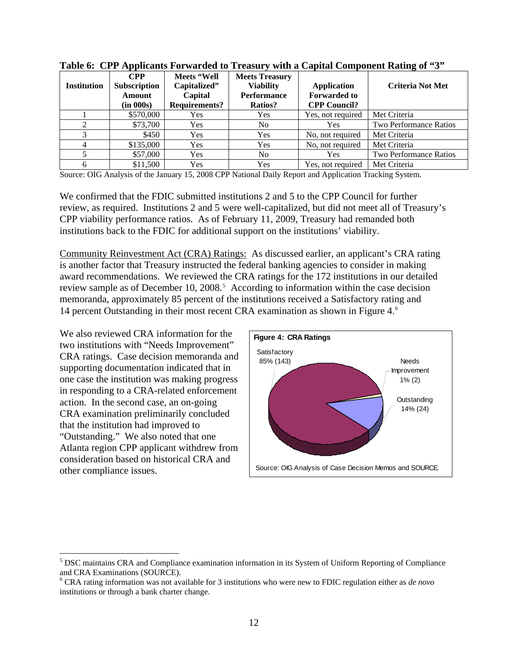| <b>Institution</b> | <b>CPP</b><br><b>Subscription</b><br><b>Amount</b><br>(in 000s) | Meets "Well<br>Capitalized"<br>Capital<br><b>Requirements?</b> | <b>Meets Treasury</b><br><b>Viability</b><br><b>Performance</b><br><b>Ratios?</b> | <b>Application</b><br><b>Forwarded to</b><br><b>CPP Council?</b> | <b>Criteria Not Met</b> |
|--------------------|-----------------------------------------------------------------|----------------------------------------------------------------|-----------------------------------------------------------------------------------|------------------------------------------------------------------|-------------------------|
|                    | \$570,000                                                       | Yes                                                            | Yes                                                                               | Yes, not required                                                | Met Criteria            |
| 2                  | \$73,700                                                        | <b>Yes</b>                                                     | No.                                                                               | Yes                                                              | Two Performance Ratios  |
| 3                  | \$450                                                           | Yes                                                            | Yes                                                                               | No, not required                                                 | Met Criteria            |
| 4                  | \$135,000                                                       | Yes                                                            | Yes                                                                               | No, not required                                                 | Met Criteria            |
|                    | \$57,000                                                        | Yes                                                            | No.                                                                               | Yes                                                              | Two Performance Ratios  |
| 6                  | \$11,500                                                        | Yes                                                            | Yes                                                                               | Yes, not required                                                | Met Criteria            |

<span id="page-15-0"></span>**Table 6: CPP Applicants Forwarded to Treasury with a Capital Component Rating of "3"** 

Source: OIG Analysis of the January 15, 2008 CPP National Daily Report and Application Tracking System.

We confirmed that the FDIC submitted institutions 2 and 5 to the CPP Council for further review, as required. Institutions 2 and 5 were well-capitalized, but did not meet all of Treasury's CPP viability performance ratios. As of February 11, 2009, Treasury had remanded both institutions back to the FDIC for additional support on the institutions' viability.

Community Reinvestment Act (CRA) Ratings: As discussed earlier, an applicant's CRA rating is another factor that Treasury instructed the federal banking agencies to consider in making award recommendations. We reviewed the CRA ratings for the 172 institutions in our detailed review sample as of December 10, 2008.<sup>[5](#page-15-0)</sup> According to information within the case decision memoranda, approximately 85 percent of the institutions received a Satisfactory rating and 14 percent Outstanding in their most recent CRA examination as shown in Figure 4.[6](#page-15-0)

We also reviewed CRA information for the two institutions with "Needs Improvement" CRA ratings. Case decision memoranda a nd supporting documentation indicated that in one case the institution was making pro gress in responding to a CRA-related enforcement action. In the second case, an on-going CRA examination preliminarily concluded that the institution had improved to "Outstanding." We also noted that one Atlanta region CPP applicant withdrew from consideration based on historical CRA and other compliance issues.

<u>.</u>



<sup>&</sup>lt;sup>5</sup> DSC maintains CRA and Compliance examination information in its System of Uniform Reporting of Compliance and CRA Examinations (SOURCE).

<sup>6</sup> CRA rating information was not available for 3 institutions who were new to FDIC regulation either as *de novo* institutions or through a bank charter change.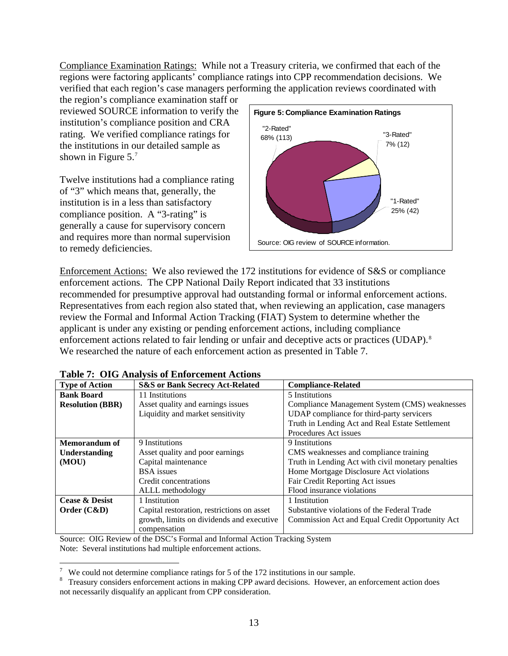<span id="page-16-0"></span>Compliance Examination Ratings: While not a Treasury criteria, we confirmed that each of the regions were factoring applicants' compliance ratings into CPP recommendation decisions. We verified that each region's case managers performing the application reviews coordinated with

the region's compliance examination staff or reviewed SOURCE information to verify t he institution's compliance position and CRA rating. We verified compliance ratings for the institutions in our detailed sample as shown in Figure 5.<sup>[7](#page-16-0)</sup>

Twelve institutions had a compliance rating of "3" which means that, generally, the institution is in a less than satisfactory compliance position. A "3-rating" is generally a cause for supervisory concern and requires more than normal supervision to remedy deficiencies.



Enforcement Actions: We also reviewed the 172 institutions for evidence of S&S or compliance enforcement actions. The CPP National Daily Report indicated that 33 institutions recommended for presumptive approval had outstanding formal or informal enforcement actions. Representatives from each region also stated that, when reviewing an application, case managers review the Formal and Informal Action Tracking (FIAT) System to determine whether the applicant is under any existing or pending enforcement actions, including compliance enforcement actions related to fair lending or unfair and deceptive acts or practices (UDAP).<sup>[8](#page-16-0)</sup> We researched the nature of each enforcement action as presented in Table 7.

| <b>Type of Action</b>     | <b>S&amp;S or Bank Secrecy Act-Related</b> | <b>Compliance-Related</b>                          |
|---------------------------|--------------------------------------------|----------------------------------------------------|
| <b>Bank Board</b>         | 11 Institutions                            | 5 Institutions                                     |
| <b>Resolution (BBR)</b>   | Asset quality and earnings issues          | Compliance Management System (CMS) weaknesses      |
|                           | Liquidity and market sensitivity           | UDAP compliance for third-party servicers          |
|                           |                                            | Truth in Lending Act and Real Estate Settlement    |
|                           |                                            | Procedures Act issues                              |
| <b>Memorandum</b> of      | 9 Institutions                             | 9 Institutions                                     |
| Understanding             | Asset quality and poor earnings            | CMS weaknesses and compliance training             |
| (MOU)                     | Capital maintenance                        | Truth in Lending Act with civil monetary penalties |
|                           | <b>BSA</b> issues                          | Home Mortgage Disclosure Act violations            |
|                           | Credit concentrations                      | Fair Credit Reporting Act issues                   |
|                           | ALLL methodology                           | Flood insurance violations                         |
| <b>Cease &amp; Desist</b> | 1 Institution                              | 1 Institution                                      |
| Order $(C&D)$             | Capital restoration, restrictions on asset | Substantive violations of the Federal Trade        |
|                           | growth, limits on dividends and executive  | Commission Act and Equal Credit Opportunity Act    |
|                           | compensation                               |                                                    |

**Table 7: OIG Analysis of Enforcement Actions** 

Source: OIG Review of the DSC's Formal and Informal Action Tracking System Note: Several institutions had multiple enforcement actions.

 $\boldsymbol{7}$ 

<sup>&</sup>lt;sup>7</sup> We could not determine compliance ratings for 5 of the 172 institutions in our sample.<br><sup>8</sup> Treasury considers enforcement actions in making CPP award decisions. However, an enforcement action does not necessarily disqualify an applicant from CPP consideration.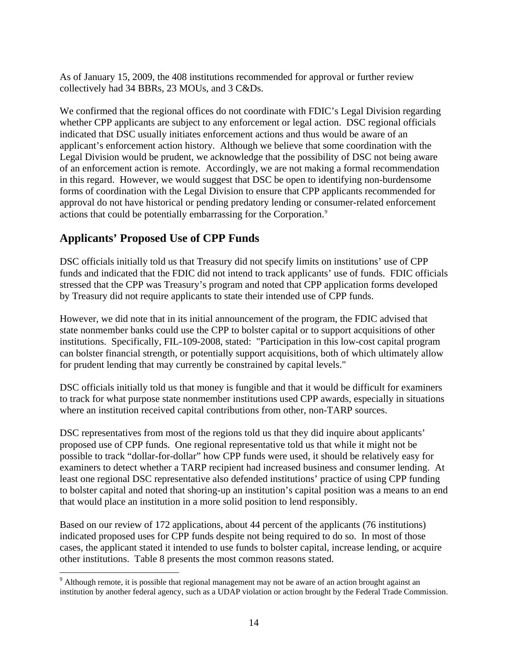<span id="page-17-0"></span>As of January 15, 2009, the 408 institutions recommended for approval or further review collectively had 34 BBRs, 23 MOUs, and 3 C&Ds.

We confirmed that the regional offices do not coordinate with FDIC's Legal Division regarding whether CPP applicants are subject to any enforcement or legal action. DSC regional officials indicated that DSC usually initiates enforcement actions and thus would be aware of an applicant's enforcement action history. Although we believe that some coordination with the Legal Division would be prudent, we acknowledge that the possibility of DSC not being aware of an enforcement action is remote. Accordingly, we are not making a formal recommendation in this regard. However, we would suggest that DSC be open to identifying non-burdensome forms of coordination with the Legal Division to ensure that CPP applicants recommended for approval do not have historical or pending predatory lending or consumer-related enforcement actions that could be potentially embarrassing for the Corporation.<sup>[9](#page-17-0)</sup>

## **Applicants' Proposed Use of CPP Funds**

 $\overline{a}$ 

DSC officials initially told us that Treasury did not specify limits on institutions' use of CPP funds and indicated that the FDIC did not intend to track applicants' use of funds. FDIC officials stressed that the CPP was Treasury's program and noted that CPP application forms developed by Treasury did not require applicants to state their intended use of CPP funds.

However, we did note that in its initial announcement of the program, the FDIC advised that state nonmember banks could use the CPP to bolster capital or to support acquisitions of other institutions. Specifically, FIL-109-2008, stated: "Participation in this low-cost capital program can bolster financial strength, or potentially support acquisitions, both of which ultimately allow for prudent lending that may currently be constrained by capital levels."

DSC officials initially told us that money is fungible and that it would be difficult for examiners to track for what purpose state nonmember institutions used CPP awards, especially in situations where an institution received capital contributions from other, non-TARP sources.

DSC representatives from most of the regions told us that they did inquire about applicants' proposed use of CPP funds. One regional representative told us that while it might not be possible to track "dollar-for-dollar" how CPP funds were used, it should be relatively easy for examiners to detect whether a TARP recipient had increased business and consumer lending. At least one regional DSC representative also defended institutions' practice of using CPP funding to bolster capital and noted that shoring-up an institution's capital position was a means to an end that would place an institution in a more solid position to lend responsibly.

Based on our review of 172 applications, about 44 percent of the applicants (76 institutions) indicated proposed uses for CPP funds despite not being required to do so. In most of those cases, the applicant stated it intended to use funds to bolster capital, increase lending, or acquire other institutions. Table 8 presents the most common reasons stated.

<sup>&</sup>lt;sup>9</sup> Although remote, it is possible that regional management may not be aware of an action brought against an institution by another federal agency, such as a UDAP violation or action brought by the Federal Trade Commission.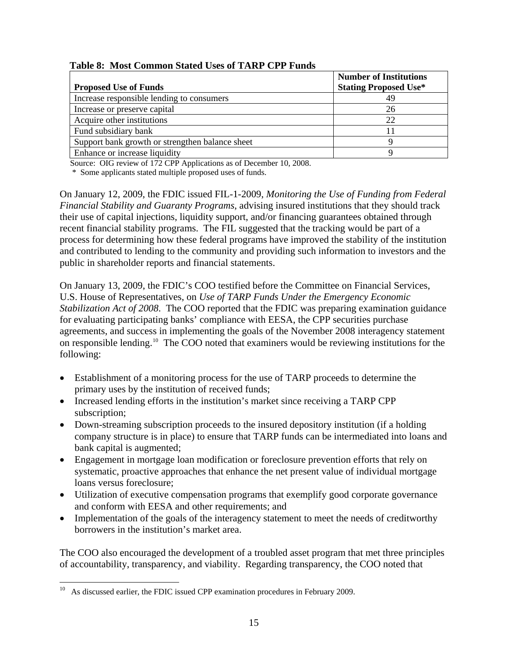|                                                 | <b>Number of Institutions</b> |
|-------------------------------------------------|-------------------------------|
| <b>Proposed Use of Funds</b>                    | <b>Stating Proposed Use*</b>  |
| Increase responsible lending to consumers       |                               |
| Increase or preserve capital                    | 26                            |
| Acquire other institutions                      | 22                            |
| Fund subsidiary bank                            |                               |
| Support bank growth or strengthen balance sheet |                               |
| Enhance or increase liquidity                   |                               |

#### <span id="page-18-0"></span> **Table 8: Most Common Stated Uses of TARP CPP Funds**

Source: OIG review of 172 CPP Applications as of December 10, 2008.

\* Some applicants stated multiple proposed uses of funds.

On January 12, 2009, the FDIC issued FIL-1-2009, *Monitoring the Use of Funding from Federal Financial Stability and Guaranty Programs*, advising insured institutions that they should track their use of capital injections, liquidity support, and/or financing guarantees obtained through recent financial stability programs. The FIL suggested that the tracking would be part of a process for determining how these federal programs have improved the stability of the institution and contributed to lending to the community and providing such information to investors and the public in shareholder reports and financial statements.

On January 13, 2009, the FDIC's COO testified before the Committee on Financial Services, U.S. House of Representatives, on *Use of TARP Funds Under the Emergency Economic Stabilization Act of 2008*. The COO reported that the FDIC was preparing examination guidance for evaluating participating banks' compliance with EESA, the CPP securities purchase agreements, and success in implementing the goals of the November 2008 interagency statement on responsible lending.[10](#page-18-0) The COO noted that examiners would be reviewing institutions for the following:

- Establishment of a monitoring process for the use of TARP proceeds to determine the primary uses by the institution of received funds;
- Increased lending efforts in the institution's market since receiving a TARP CPP subscription;
- Down-streaming subscription proceeds to the insured depository institution (if a holding company structure is in place) to ensure that TARP funds can be intermediated into loans and bank capital is augmented;
- Engagement in mortgage loan modification or foreclosure prevention efforts that rely on systematic, proactive approaches that enhance the net present value of individual mortgage loans versus foreclosure;
- Utilization of executive compensation programs that exemplify good corporate governance and conform with EESA and other requirements; and
- Implementation of the goals of the interagency statement to meet the needs of creditworthy borrowers in the institution's market area.

The COO also encouraged the development of a troubled asset program that met three principles of accountability, transparency, and viability. Regarding transparency, the COO noted that

 $\overline{a}$ 

 $10$  As discussed earlier, the FDIC issued CPP examination procedures in February 2009.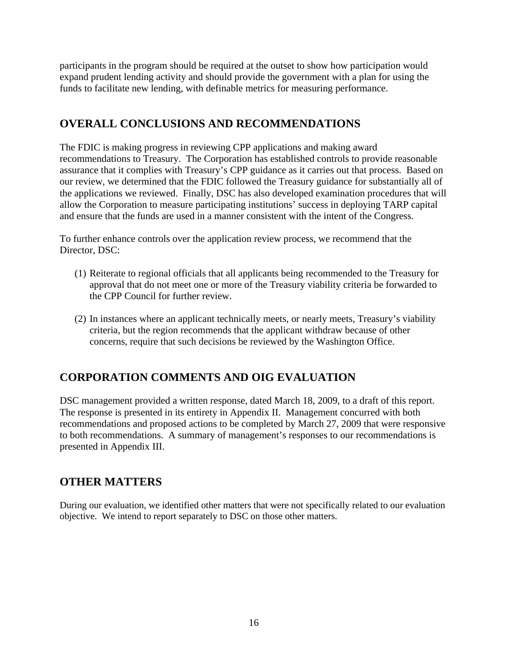participants in the program should be required at the outset to show how participation would expand prudent lending activity and should provide the government with a plan for using the funds to facilitate new lending, with definable metrics for measuring performance.

## **OVERALL CONCLUSIONS AND RECOMMENDATIONS**

The FDIC is making progress in reviewing CPP applications and making award recommendations to Treasury. The Corporation has established controls to provide reasonable assurance that it complies with Treasury's CPP guidance as it carries out that process. Based on our review, we determined that the FDIC followed the Treasury guidance for substantially all of the applications we reviewed. Finally, DSC has also developed examination procedures that will allow the Corporation to measure participating institutions' success in deploying TARP capital and ensure that the funds are used in a manner consistent with the intent of the Congress.

To further enhance controls over the application review process, we recommend that the Director, DSC:

- (1) Reiterate to regional officials that all applicants being recommended to the Treasury for approval that do not meet one or more of the Treasury viability criteria be forwarded to the CPP Council for further review.
- (2) In instances where an applicant technically meets, or nearly meets, Treasury's viability criteria, but the region recommends that the applicant withdraw because of other concerns, require that such decisions be reviewed by the Washington Office.

# **CORPORATION COMMENTS AND OIG EVALUATION**

DSC management provided a written response, dated March 18, 2009, to a draft of this report. The response is presented in its entirety in Appendix II. Management concurred with both recommendations and proposed actions to be completed by March 27, 2009 that were responsive to both recommendations. A summary of management's responses to our recommendations is presented in Appendix III.

# **OTHER MATTERS**

During our evaluation, we identified other matters that were not specifically related to our evaluation objective. We intend to report separately to DSC on those other matters.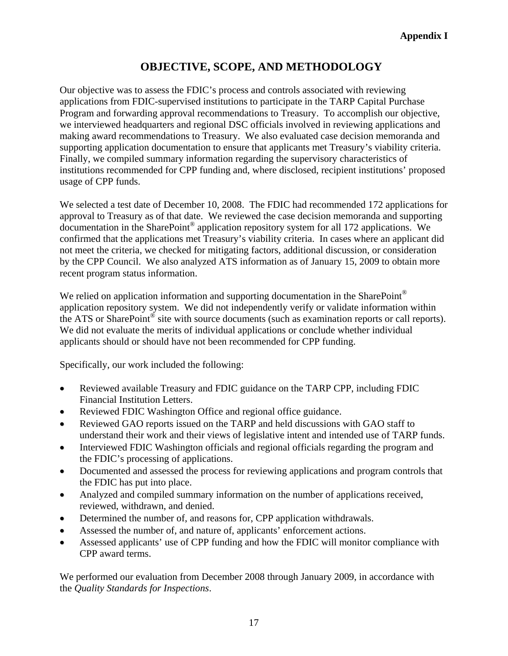# **OBJECTIVE, SCOPE, AND METHODOLOGY**

Our objective was to assess the FDIC's process and controls associated with reviewing applications from FDIC-supervised institutions to participate in the TARP Capital Purchase Program and forwarding approval recommendations to Treasury. To accomplish our objective, we interviewed headquarters and regional DSC officials involved in reviewing applications and making award recommendations to Treasury. We also evaluated case decision memoranda and supporting application documentation to ensure that applicants met Treasury's viability criteria. Finally, we compiled summary information regarding the supervisory characteristics of institutions recommended for CPP funding and, where disclosed, recipient institutions' proposed usage of CPP funds.

We selected a test date of December 10, 2008. The FDIC had recommended 172 applications for approval to Treasury as of that date. We reviewed the case decision memoranda and supporting documentation in the SharePoint® application repository system for all 172 applications. We confirmed that the applications met Treasury's viability criteria. In cases where an applicant did not meet the criteria, we checked for mitigating factors, additional discussion, or consideration by the CPP Council. We also analyzed ATS information as of January 15, 2009 to obtain more recent program status information.

We relied on application information and supporting documentation in the SharePoint<sup>®</sup> application repository system. We did not independently verify or validate information within the ATS or SharePoint® site with source documents (such as examination reports or call reports). We did not evaluate the merits of individual applications or conclude whether individual applicants should or should have not been recommended for CPP funding.

Specifically, our work included the following:

- Reviewed available Treasury and FDIC guidance on the TARP CPP, including FDIC Financial Institution Letters.
- Reviewed FDIC Washington Office and regional office guidance.
- Reviewed GAO reports issued on the TARP and held discussions with GAO staff to understand their work and their views of legislative intent and intended use of TARP funds.
- Interviewed FDIC Washington officials and regional officials regarding the program and the FDIC's processing of applications.
- Documented and assessed the process for reviewing applications and program controls that the FDIC has put into place.
- Analyzed and compiled summary information on the number of applications received, reviewed, withdrawn, and denied.
- Determined the number of, and reasons for, CPP application withdrawals.
- Assessed the number of, and nature of, applicants' enforcement actions.
- Assessed applicants' use of CPP funding and how the FDIC will monitor compliance with CPP award terms.

We performed our evaluation from December 2008 through January 2009, in accordance with the *Quality Standards for Inspections*.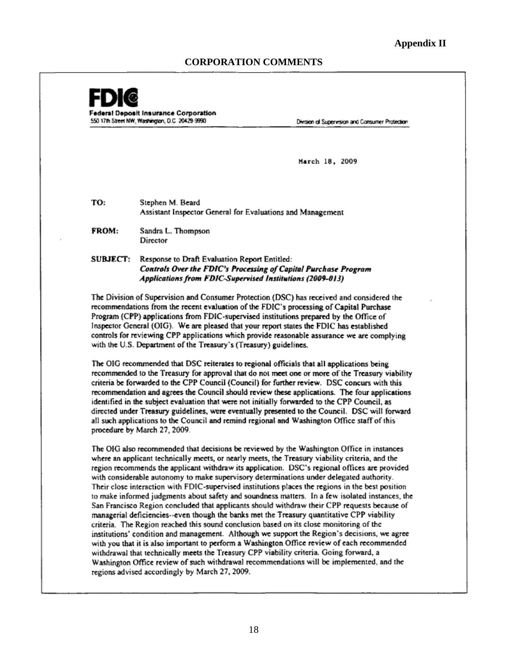#### **CORPORATION COMMENTS**



San Francisco Region concluded that applicants should withdraw their CPP requests because of managerial deficiencies--even though the banks met the Treasury quantitative CPP viability criteria. The Region reached this sound conclusion based on its close monitoring of the institutions' condition and management. Although we support the Region's decisions, we agree with you that it is also important to perform a Washington Office review of each recommended withdrawal that technically meets the Treasury CPP viability criteria. Going forward, a Washington Office review of such withdrawal recommendations will be implemented, and the regions advised accordingly by March 27, 2009.